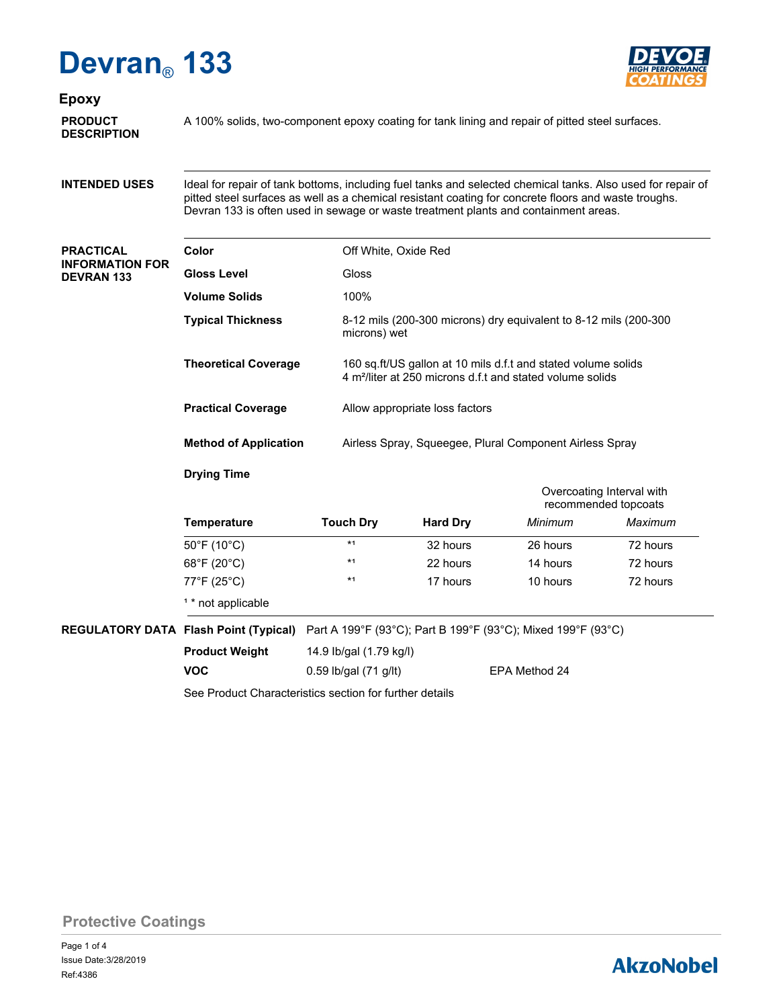# **Devran**® **133**



**Epoxy**

**DESCRIPTION**

**PRODUCT** A 100% solids, two-component epoxy coating for tank lining and repair of pitted steel surfaces.

**INTENDED USES**

Ideal for repair of tank bottoms, including fuel tanks and selected chemical tanks. Also used for repair of pitted steel surfaces as well as a chemical resistant coating for concrete floors and waste troughs. Devran 133 is often used in sewage or waste treatment plants and containment areas.

#### **PRACTICAL INFORMATION FOR DEVRAN 133**

| Color                        | Off White, Oxide Red                                                                                                                   |
|------------------------------|----------------------------------------------------------------------------------------------------------------------------------------|
| <b>Gloss Level</b>           | Gloss                                                                                                                                  |
| <b>Volume Solids</b>         | 100%                                                                                                                                   |
| <b>Typical Thickness</b>     | 8-12 mils (200-300 microns) dry equivalent to 8-12 mils (200-300<br>microns) wet                                                       |
| <b>Theoretical Coverage</b>  | 160 sq.ft/US gallon at 10 mils d.f.t and stated volume solids<br>4 m <sup>2</sup> /liter at 250 microns d.f.t and stated volume solids |
| <b>Practical Coverage</b>    | Allow appropriate loss factors                                                                                                         |
| <b>Method of Application</b> | Airless Spray, Squeeqee, Plural Component Airless Spray                                                                                |
|                              |                                                                                                                                        |

### **Drying Time**

| <b>Temperature</b>               |                  |                 | Overcoating Interval with<br>recommended topcoats |          |
|----------------------------------|------------------|-----------------|---------------------------------------------------|----------|
|                                  | <b>Touch Dry</b> | <b>Hard Dry</b> | Minimum                                           | Maximum  |
| $50^{\circ}$ F (10 $^{\circ}$ C) | $*1$             | 32 hours        | 26 hours                                          | 72 hours |
| 68°F (20°C)                      | $*1$             | 22 hours        | 14 hours                                          | 72 hours |
| 77°F (25°C)                      | $*1$             | 17 hours        | 10 hours                                          | 72 hours |
| <sup>1</sup> * not applicable    |                  |                 |                                                   |          |

**REGULATORY DATA Flash Point (Typical)** Part A 199°F (93°C); Part B 199°F (93°C); Mixed 199°F (93°C)

| <b>Product Weight</b> | 14.9 lb/gal (1.79 kg/l) |               |
|-----------------------|-------------------------|---------------|
| <b>VOC</b>            | 0.59 lb/gal $(71$ g/lt) | EPA Method 24 |

See Product Characteristics section for further details

### **Protective Coatings**

## **AkzoNobel**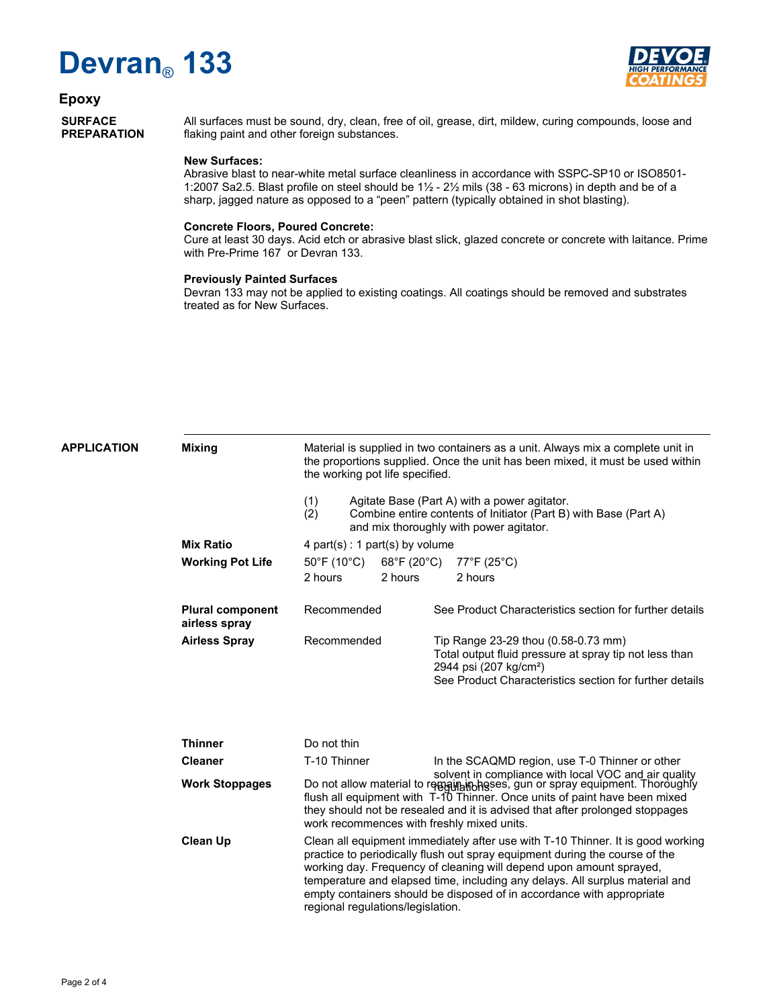# **Devran**® **133**



#### **Epoxy**

**SURFACE PREPARATION**

All surfaces must be sound, dry, clean, free of oil, grease, dirt, mildew, curing compounds, loose and flaking paint and other foreign substances.

#### **New Surfaces:**

Abrasive blast to near-white metal surface cleanliness in accordance with SSPC-SP10 or ISO8501- 1:2007 Sa2.5. Blast profile on steel should be 1½ - 2½ mils (38 - 63 microns) in depth and be of a sharp, jagged nature as opposed to a "peen" pattern (typically obtained in shot blasting).

#### **Concrete Floors, Poured Concrete:**

Cure at least 30 days. Acid etch or abrasive blast slick, glazed concrete or concrete with laitance. Prime with Pre-Prime 167 or Devran 133.

#### **Previously Painted Surfaces**

Devran 133 may not be applied to existing coatings. All coatings should be removed and substrates treated as for New Surfaces.

| <b>APPLICATION</b> | <b>Mixing</b>                            | Material is supplied in two containers as a unit. Always mix a complete unit in<br>the proportions supplied. Once the unit has been mixed, it must be used within<br>the working pot life specified.                                                                                                                                                                                                                                |         |                                                                                                                                                                                                |                                                |  |
|--------------------|------------------------------------------|-------------------------------------------------------------------------------------------------------------------------------------------------------------------------------------------------------------------------------------------------------------------------------------------------------------------------------------------------------------------------------------------------------------------------------------|---------|------------------------------------------------------------------------------------------------------------------------------------------------------------------------------------------------|------------------------------------------------|--|
|                    |                                          | (1)<br>Agitate Base (Part A) with a power agitator.<br>(2)<br>Combine entire contents of Initiator (Part B) with Base (Part A)<br>and mix thoroughly with power agitator.                                                                                                                                                                                                                                                           |         |                                                                                                                                                                                                |                                                |  |
|                    | <b>Mix Ratio</b>                         | 4 part(s) : 1 part(s) by volume                                                                                                                                                                                                                                                                                                                                                                                                     |         |                                                                                                                                                                                                |                                                |  |
|                    | <b>Working Pot Life</b>                  | $50^{\circ}$ F (10 $^{\circ}$ C)<br>68°F (20°C)                                                                                                                                                                                                                                                                                                                                                                                     |         | $77^{\circ}$ F (25 $^{\circ}$ C)                                                                                                                                                               |                                                |  |
|                    |                                          | 2 hours                                                                                                                                                                                                                                                                                                                                                                                                                             | 2 hours |                                                                                                                                                                                                | 2 hours                                        |  |
|                    | <b>Plural component</b><br>airless spray | Recommended                                                                                                                                                                                                                                                                                                                                                                                                                         |         | See Product Characteristics section for further details                                                                                                                                        |                                                |  |
|                    | <b>Airless Spray</b>                     | Recommended                                                                                                                                                                                                                                                                                                                                                                                                                         |         | Tip Range 23-29 thou (0.58-0.73 mm)<br>Total output fluid pressure at spray tip not less than<br>2944 psi (207 kg/cm <sup>2</sup> )<br>See Product Characteristics section for further details |                                                |  |
|                    | <b>Thinner</b>                           | Do not thin                                                                                                                                                                                                                                                                                                                                                                                                                         |         |                                                                                                                                                                                                |                                                |  |
|                    | <b>Cleaner</b>                           | T-10 Thinner                                                                                                                                                                                                                                                                                                                                                                                                                        |         |                                                                                                                                                                                                | In the SCAQMD region, use T-0 Thinner or other |  |
|                    | <b>Work Stoppages</b>                    | solvent in compliance with local VOC and air quality<br>Do not allow material to readingly thoness, gun or spray equipment. Thoroughly<br>flush all equipment with T-10 Thinner. Once units of paint have been mixed<br>they should not be resealed and it is advised that after prolonged stoppages<br>work recommences with freshly mixed units.                                                                                  |         |                                                                                                                                                                                                |                                                |  |
|                    | <b>Clean Up</b>                          | Clean all equipment immediately after use with T-10 Thinner. It is good working<br>practice to periodically flush out spray equipment during the course of the<br>working day. Frequency of cleaning will depend upon amount sprayed,<br>temperature and elapsed time, including any delays. All surplus material and<br>empty containers should be disposed of in accordance with appropriate<br>regional regulations/legislation. |         |                                                                                                                                                                                                |                                                |  |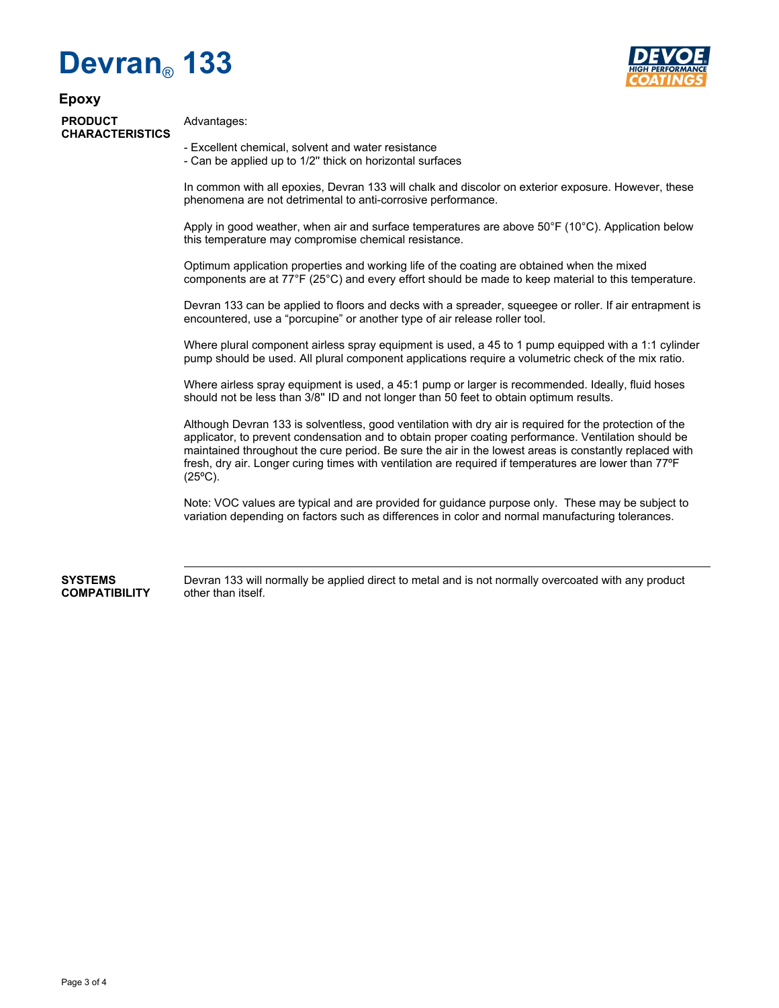# **Devran**® **133**



### **Epoxy PRODUCT CHARACTERISTICS**

Advantages:

- Excellent chemical, solvent and water resistance

- Can be applied up to 1/2'' thick on horizontal surfaces

In common with all epoxies, Devran 133 will chalk and discolor on exterior exposure. However, these phenomena are not detrimental to anti-corrosive performance.

Apply in good weather, when air and surface temperatures are above 50°F (10°C). Application below this temperature may compromise chemical resistance.

Optimum application properties and working life of the coating are obtained when the mixed components are at 77°F (25°C) and every effort should be made to keep material to this temperature.

Devran 133 can be applied to floors and decks with a spreader, squeegee or roller. If air entrapment is encountered, use a "porcupine" or another type of air release roller tool.

Where plural component airless spray equipment is used, a 45 to 1 pump equipped with a 1:1 cylinder pump should be used. All plural component applications require a volumetric check of the mix ratio.

Where airless spray equipment is used, a 45:1 pump or larger is recommended. Ideally, fluid hoses should not be less than 3/8'' ID and not longer than 50 feet to obtain optimum results.

Although Devran 133 is solventless, good ventilation with dry air is required for the protection of the applicator, to prevent condensation and to obtain proper coating performance. Ventilation should be maintained throughout the cure period. Be sure the air in the lowest areas is constantly replaced with fresh, dry air. Longer curing times with ventilation are required if temperatures are lower than 77ºF (25ºC).

Note: VOC values are typical and are provided for guidance purpose only. These may be subject to variation depending on factors such as differences in color and normal manufacturing tolerances.

**SYSTEMS COMPATIBILITY** Devran 133 will normally be applied direct to metal and is not normally overcoated with any product other than itself.